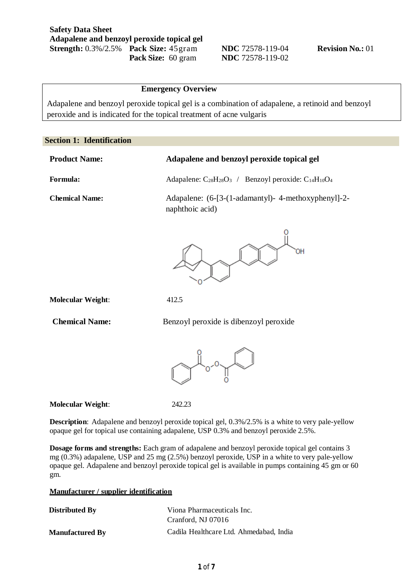### **Emergency Overview**

Adapalene and benzoyl peroxide topical gel is a combination of adapalene, a retinoid and benzoyl peroxide and is indicated for the topical treatment of acne vulgaris

### **Section 1: Identification**

| <b>Product Name:</b>  | Adapalene and benzoyl peroxide topical gel                             |  |
|-----------------------|------------------------------------------------------------------------|--|
| Formula:              | Adapalene: $C_{28}H_{28}O_3$ / Benzoyl peroxide: $C_{14}H_{10}O_4$     |  |
| <b>Chemical Name:</b> | Adapalene: (6-[3-(1-adamantyl)- 4-methoxyphenyl]-2-<br>naphthoic acid) |  |
|                       |                                                                        |  |



**Molecular Weight**: 412.5

**Chemical Name:** Benzoyl peroxide is dibenzoyl peroxide



**Molecular Weight**: 242.23

**Description**: Adapalene and benzoyl peroxide topical gel, 0.3%/2.5% is a white to very pale-yellow opaque gel for topical use containing adapalene, USP 0.3% and benzoyl peroxide 2.5%.

**Dosage forms and strengths:** Each gram of adapalene and benzoyl peroxide topical gel contains 3 mg (0.3%) adapalene, USP and 25 mg (2.5%) benzoyl peroxide, USP in a white to very pale-yellow opaque gel. Adapalene and benzoyl peroxide topical gel is available in pumps containing 45 gm or 60 gm.

#### **Manufacturer / supplier identification**

| <b>Distributed By</b>  | Viona Pharmaceuticals Inc.              |
|------------------------|-----------------------------------------|
|                        | Cranford, NJ 07016                      |
| <b>Manufactured By</b> | Cadila Healthcare Ltd. Ahmedabad. India |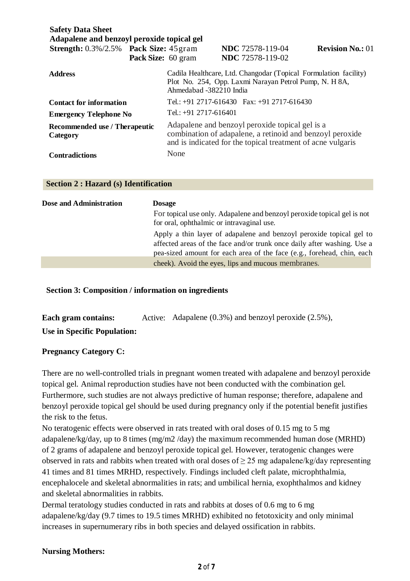| <b>Safety Data Sheet</b><br>Adapalene and benzoyl peroxide topical gel |                    |                                                                                                                                                                             |                                                                                                                            |                         |
|------------------------------------------------------------------------|--------------------|-----------------------------------------------------------------------------------------------------------------------------------------------------------------------------|----------------------------------------------------------------------------------------------------------------------------|-------------------------|
| <b>Strength:</b> 0.3%/2.5% Pack Size: 45 gram                          |                    |                                                                                                                                                                             | <b>NDC</b> 72578-119-04                                                                                                    | <b>Revision No.: 01</b> |
|                                                                        | Pack Size: 60 gram |                                                                                                                                                                             | <b>NDC</b> 72578-119-02                                                                                                    |                         |
| <b>Address</b>                                                         |                    | Ahmedabad -382210 India                                                                                                                                                     | Cadila Healthcare, Ltd. Changodar (Topical Formulation facility)<br>Plot No. 254, Opp. Laxmi Narayan Petrol Pump, N. H 8A, |                         |
| <b>Contact for information</b>                                         |                    |                                                                                                                                                                             | Tel.: +91 2717-616430 Fax: +91 2717-616430                                                                                 |                         |
| <b>Emergency Telephone No</b>                                          |                    | Tel.: $+91$ 2717-616401                                                                                                                                                     |                                                                                                                            |                         |
| Recommended use / Therapeutic<br>Category                              |                    | Adapalene and benzoyl peroxide topical gel is a<br>combination of adapalene, a retinoid and benzoyl peroxide<br>and is indicated for the topical treatment of acne vulgaris |                                                                                                                            |                         |
| <b>Contradictions</b>                                                  |                    | None                                                                                                                                                                        |                                                                                                                            |                         |

### **Section 2 : Hazard (s) Identification**

| Dose and Administration | <b>Dosage</b>                                                                                                                                                                                                            |
|-------------------------|--------------------------------------------------------------------------------------------------------------------------------------------------------------------------------------------------------------------------|
|                         | For topical use only. Adapalene and benzoyl peroxide topical gel is not<br>for oral, ophthalmic or intravaginal use.                                                                                                     |
|                         | Apply a thin layer of adapalene and benzoyl peroxide topical gel to<br>affected areas of the face and/or trunk once daily after washing. Use a<br>pea-sized amount for each area of the face (e.g., forehead, chin, each |
|                         | cheek). Avoid the eyes, lips and mucous membranes.                                                                                                                                                                       |

# **Section 3: Composition / information on ingredients**

| Each gram contains:                | Active: Adapalene $(0.3\%)$ and benzoyl peroxide $(2.5\%)$ , |
|------------------------------------|--------------------------------------------------------------|
| <b>Use in Specific Population:</b> |                                                              |

# **Pregnancy Category C:**

There are no well-controlled trials in pregnant women treated with adapalene and benzoyl peroxide topical gel. Animal reproduction studies have not been conducted with the combination gel. Furthermore, such studies are not always predictive of human response; therefore, adapalene and benzoyl peroxide topical gel should be used during pregnancy only if the potential benefit justifies the risk to the fetus.

No teratogenic effects were observed in rats treated with oral doses of 0.15 mg to 5 mg adapalene/kg/day, up to 8 times (mg/m2 /day) the maximum recommended human dose (MRHD) of 2 grams of adapalene and benzoyl peroxide topical gel. However, teratogenic changes were observed in rats and rabbits when treated with oral doses of  $\geq$  25 mg adapalene/kg/day representing 41 times and 81 times MRHD, respectively. Findings included cleft palate, microphthalmia, encephalocele and skeletal abnormalities in rats; and umbilical hernia, exophthalmos and kidney and skeletal abnormalities in rabbits.

Dermal teratology studies conducted in rats and rabbits at doses of 0.6 mg to 6 mg adapalene/kg/day (9.7 times to 19.5 times MRHD) exhibited no fetotoxicity and only minimal increases in supernumerary ribs in both species and delayed ossification in rabbits.

## **Nursing Mothers:**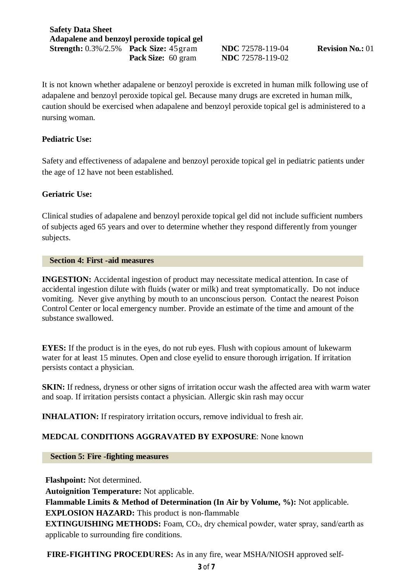It is not known whether adapalene or benzoyl peroxide is excreted in human milk following use of adapalene and benzoyl peroxide topical gel. Because many drugs are excreted in human milk, caution should be exercised when adapalene and benzoyl peroxide topical gel is administered to a nursing woman.

# **Pediatric Use:**

Safety and effectiveness of adapalene and benzoyl peroxide topical gel in pediatric patients under the age of 12 have not been established.

## **Geriatric Use:**

Clinical studies of adapalene and benzoyl peroxide topical gel did not include sufficient numbers of subjects aged 65 years and over to determine whether they respond differently from younger subjects.

### **Section 4: First -aid measures**

**INGESTION:** Accidental ingestion of product may necessitate medical attention. In case of accidental ingestion dilute with fluids (water or milk) and treat symptomatically. Do not induce vomiting. Never give anything by mouth to an unconscious person. Contact the nearest Poison Control Center or local emergency number. Provide an estimate of the time and amount of the substance swallowed.

**EYES:** If the product is in the eyes, do not rub eyes. Flush with copious amount of lukewarm water for at least 15 minutes. Open and close eyelid to ensure thorough irrigation. If irritation persists contact a physician.

**SKIN:** If redness, dryness or other signs of irritation occur wash the affected area with warm water and soap. If irritation persists contact a physician. Allergic skin rash may occur

**INHALATION:** If respiratory irritation occurs, remove individual to fresh air.

# **MEDCAL CONDITIONS AGGRAVATED BY EXPOSURE**: None known

 **Section 5: Fire -fighting measures**

**Flashpoint:** Not determined. **Autoignition Temperature:** Not applicable. **Flammable Limits & Method of Determination (In Air by Volume, %):** Not applicable. **EXPLOSION HAZARD:** This product is non-flammable **EXTINGUISHING METHODS:** Foam, CO<sub>2</sub>, dry chemical powder, water spray, sand/earth as applicable to surrounding fire conditions.

**FIRE‐FIGHTING PROCEDURES:** As in any fire, wear MSHA/NIOSH approved self‐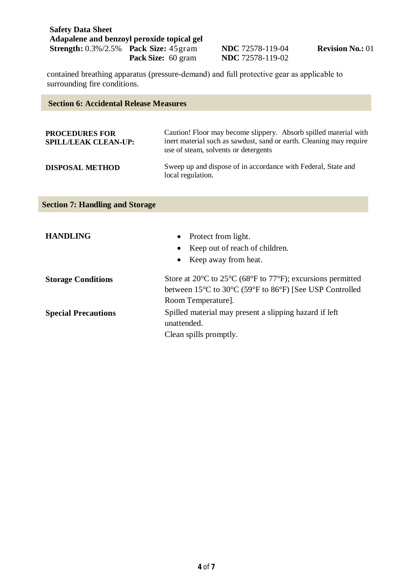**NDC** 72578-119-04 **Revision No.:** 01 **NDC** 72578-119-02

contained breathing apparatus (pressure‐demand) and full protective gear as applicable to surrounding fire conditions.

| <b>Section 6: Accidental Release Measures</b>        |                                                                                                                                                                                                         |  |
|------------------------------------------------------|---------------------------------------------------------------------------------------------------------------------------------------------------------------------------------------------------------|--|
|                                                      |                                                                                                                                                                                                         |  |
| <b>PROCEDURES FOR</b><br><b>SPILL/LEAK CLEAN-UP:</b> | Caution! Floor may become slippery. Absorb spilled material with<br>inert material such as sawdust, sand or earth. Cleaning may require<br>use of steam, solvents or detergents                         |  |
| <b>DISPOSAL METHOD</b>                               | Sweep up and dispose of in accordance with Federal, State and<br>local regulation.                                                                                                                      |  |
| <b>Section 7: Handling and Storage</b>               |                                                                                                                                                                                                         |  |
| <b>HANDLING</b>                                      | Protect from light.<br>Keep out of reach of children.<br>Keep away from heat.                                                                                                                           |  |
| <b>Storage Conditions</b>                            | Store at 20 $\degree$ C to 25 $\degree$ C (68 $\degree$ F to 77 $\degree$ F); excursions permitted<br>between $15^{\circ}$ C to $30^{\circ}$ C (59 $^{\circ}$ F to 86 $^{\circ}$ F) [See USP Controlled |  |
| <b>Special Precautions</b>                           | Room Temperature].<br>Spilled material may present a slipping hazard if left<br>unattended.                                                                                                             |  |

Clean spills promptly.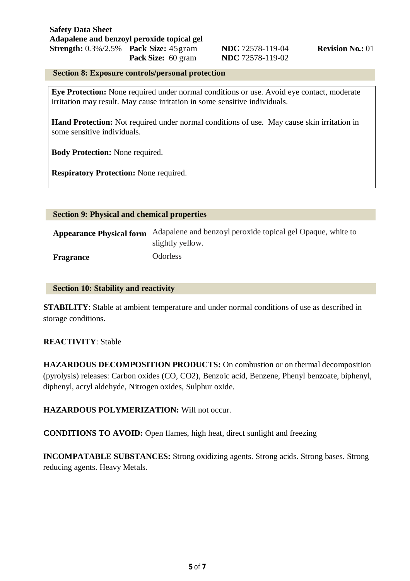## **Section 8: Exposure controls/personal protection**

**Eye Protection:** None required under normal conditions or use. Avoid eye contact, moderate irritation may result. May cause irritation in some sensitive individuals.

Hand Protection: Not required under normal conditions of use. May cause skin irritation in some sensitive individuals.

**Body Protection:** None required.

**Respiratory Protection:** None required.

| <b>Section 9: Physical and chemical properties</b> |                                                                                 |
|----------------------------------------------------|---------------------------------------------------------------------------------|
| <b>Appearance Physical form</b>                    | Adapalene and benzoyl peroxide topical gel Opaque, white to<br>slightly yellow. |
| Fragrance                                          | <b>Odorless</b>                                                                 |

## **Section 10: Stability and reactivity**

**STABILITY**: Stable at ambient temperature and under normal conditions of use as described in storage conditions.

## **REACTIVITY**: Stable

**HAZARDOUS DECOMPOSITION PRODUCTS:** On combustion or on thermal decomposition (pyrolysis) releases: Carbon oxides (CO, CO2), Benzoic acid, Benzene, Phenyl benzoate, biphenyl, diphenyl, acryl aldehyde, Nitrogen oxides, Sulphur oxide.

## **HAZARDOUS POLYMERIZATION:** Will not occur.

**CONDITIONS TO AVOID:** Open flames, high heat, direct sunlight and freezing

**INCOMPATABLE SUBSTANCES:** Strong oxidizing agents. Strong acids. Strong bases. Strong reducing agents. Heavy Metals.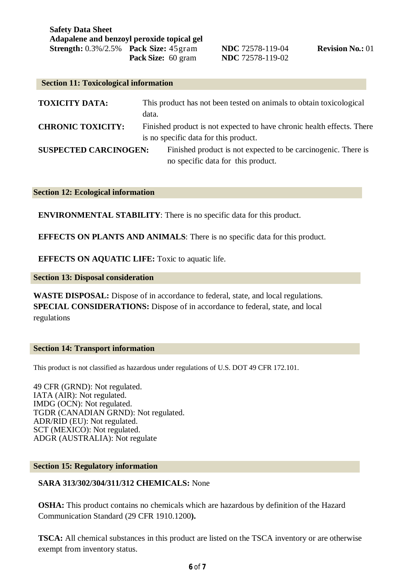| <b>Section 11: Toxicological information</b> |                                                                                                                 |
|----------------------------------------------|-----------------------------------------------------------------------------------------------------------------|
| <b>TOXICITY DATA:</b>                        | This product has not been tested on animals to obtain toxicological<br>data.                                    |
| <b>CHRONIC TOXICITY:</b>                     | Finished product is not expected to have chronic health effects. There<br>is no specific data for this product. |
| <b>SUSPECTED CARCINOGEN:</b>                 | Finished product is not expected to be carcinogenic. There is<br>no specific data for this product.             |

### **Section 12: Ecological information**

**ENVIRONMENTAL STABILITY**: There is no specific data for this product.

**EFFECTS ON PLANTS AND ANIMALS**: There is no specific data for this product.

**EFFECTS ON AQUATIC LIFE:** Toxic to aquatic life.

**Section 13: Disposal consideration**

**WASTE DISPOSAL:** Dispose of in accordance to federal, state, and local regulations. **SPECIAL CONSIDERATIONS:** Dispose of in accordance to federal, state, and local regulations

#### **Section 14: Transport information**

This product is not classified as hazardous under regulations of U.S. DOT 49 CFR 172.101.

49 CFR (GRND): Not regulated. IATA (AIR): Not regulated. IMDG (OCN): Not regulated. TGDR (CANADIAN GRND): Not regulated. ADR/RID (EU): Not regulated. SCT (MEXICO): Not regulated. ADGR (AUSTRALIA): Not regulate

### **Section 15: Regulatory information**

### **SARA 313/302/304/311/312 CHEMICALS:** None

**OSHA:** This product contains no chemicals which are hazardous by definition of the Hazard Communication Standard (29 CFR 1910.1200**).**

**TSCA:** All chemical substances in this product are listed on the TSCA inventory or are otherwise exempt from inventory status.